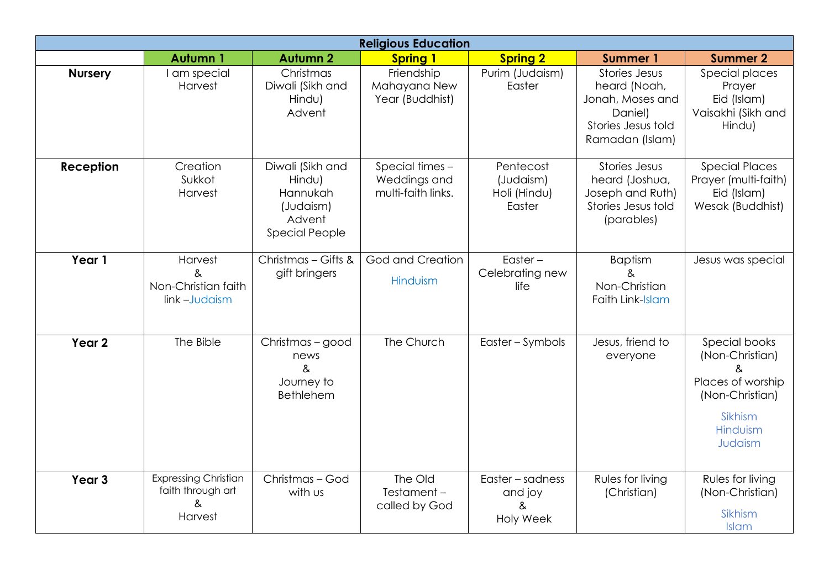|                   | <b>Religious Education</b>                                       |                                                                                        |                                                       |                                                      |                                                                                                       |                                                                                                                 |  |
|-------------------|------------------------------------------------------------------|----------------------------------------------------------------------------------------|-------------------------------------------------------|------------------------------------------------------|-------------------------------------------------------------------------------------------------------|-----------------------------------------------------------------------------------------------------------------|--|
|                   | <b>Autumn1</b>                                                   | <b>Autumn 2</b>                                                                        | <b>Spring 1</b>                                       | <b>Spring 2</b>                                      | <b>Summer 1</b>                                                                                       | <b>Summer 2</b>                                                                                                 |  |
| <b>Nursery</b>    | I am special<br>Harvest                                          | Christmas<br>Diwali (Sikh and<br>Hindu)<br>Advent                                      | Friendship<br>Mahayana New<br>Year (Buddhist)         | Purim (Judaism)<br>Easter                            | Stories Jesus<br>heard (Noah,<br>Jonah, Moses and<br>Daniel)<br>Stories Jesus told<br>Ramadan (Islam) | Special places<br>Prayer<br>Eid (Islam)<br>Vaisakhi (Sikh and<br>Hindu)                                         |  |
| Reception         | Creation<br>Sukkot<br>Harvest                                    | Diwali (Sikh and<br>Hindu)<br>Hannukah<br>(Judaism)<br>Advent<br><b>Special People</b> | Special times -<br>Weddings and<br>multi-faith links. | Pentecost<br>(Judaism)<br>Holi (Hindu)<br>Easter     | Stories Jesus<br>heard (Joshua,<br>Joseph and Ruth)<br>Stories Jesus told<br>(parables)               | <b>Special Places</b><br>Prayer (multi-faith)<br>Eid (Islam)<br>Wesak (Buddhist)                                |  |
| Year 1            | Harvest<br>&<br>Non-Christian faith<br>link-Judaism              | Christmas - Gifts &<br>gift bringers                                                   | God and Creation<br>Hinduism                          | Easter $-$<br>Celebrating new<br>life                | <b>Baptism</b><br>&<br>Non-Christian<br>Faith Link-Islam                                              | Jesus was special                                                                                               |  |
| Year <sub>2</sub> | The Bible                                                        | Christmas - good<br>news<br>$\&$<br>Journey to<br>Bethlehem                            | The Church                                            | Easter - Symbols                                     | Jesus, friend to<br>everyone                                                                          | Special books<br>(Non-Christian)<br>&<br>Places of worship<br>(Non-Christian)<br>Sikhism<br>Hinduism<br>Judaism |  |
| Year <sub>3</sub> | <b>Expressing Christian</b><br>faith through art<br>&<br>Harvest | Christmas - God<br>with us                                                             | The Old<br>Testament-<br>called by God                | Easter - sadness<br>and joy<br>&<br><b>Holy Week</b> | Rules for living<br>(Christian)                                                                       | Rules for living<br>(Non-Christian)<br>Sikhism<br>Islam                                                         |  |